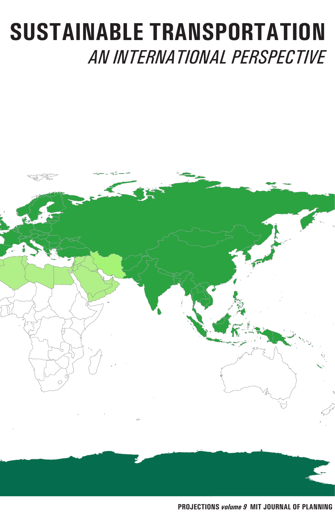# **SUSTAINABLE TRANSPORTATION** *AN INTERNATIONAL PERSPECTIVE*

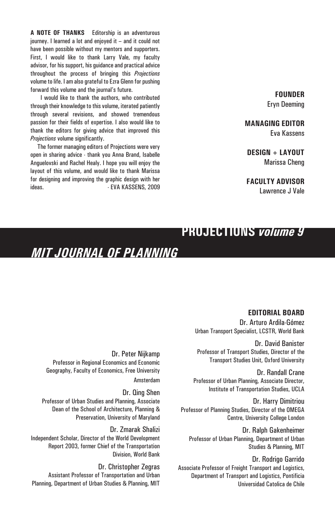**A NOTE OF THANKS** Editorship is an adventurous journey. I learned a lot and enjoyed it – and it could not have been possible without my mentors and supporters. First, I would like to thank Larry Vale, my faculty advisor, for his support, his guidance and practical advice throughout the process of bringing this *Projections* volume to life. I am also grateful to Ezra Glenn for pushing forward this volume and the journal's future.

 I would like to thank the authors, who contributed through their knowledge to this volume, iterated patiently through several revisions, and showed tremendous passion for their fields of expertise. I also would like to thank the editors for giving advice that improved this *Projections* volume significantly.

 The former managing editors of Projections were very open in sharing advice - thank you Anna Brand, Isabelle Anguelovski and Rachel Healy. I hope you will enjoy the layout of this volume, and would like to thank Marissa for designing and improving the graphic design with her ideas. The EVA KASSENS, 2009

**FOUNDER** Eryn Deeming

**MANAGING EDITOR** Eva Kassens

**DESIGN + LAYOUT** Marissa Cheng

**FACULTY ADVISOR**

Lawrence J Vale

#### **PROJECTIONS** *volume 9*

### *MIT JOURNAL OF PLANNING*

**EDITORIAL BOARD** Dr. Arturo Ardila-Gómez Urban Transport Specialist, LCSTR, World Bank

Dr. David Banister Professor of Transport Studies, Director of the Transport Studies Unit, Oxford University

Dr. Randall Crane Professor of Urban Planning, Associate Director, Institute of Transportation Studies, UCLA

Dr. Harry Dimitriou Professor of Planning Studies, Director of the OMEGA Centre, University College London

Dr. Ralph Gakenheimer Professor of Urban Planning, Department of Urban Studies & Planning, MIT

Dr. Rodrigo Garrido Associate Professor of Freight Transport and Logistics, Department of Transport and Logistics, Pontificia Universidad Catolica de Chile

Dr. Peter Nijkamp Professor in Regional Economics and Economic Geography, Faculty of Economics, Free University Amsterdam

Dr. Qing Shen Professor of Urban Studies and Planning, Associate Dean of the School of Architecture, Planning & Preservation, University of Maryland

Dr. Zmarak Shalizi Independent Scholar, Director of the World Development Report 2003, former Chief of the Transportation Division, World Bank

Dr. Christopher Zegras Assistant Professor of Transportation and Urban Planning, Department of Urban Studies & Planning, MIT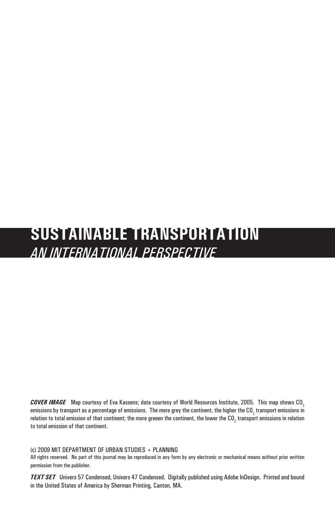## **SUSTAINABLE TRANSPORTATION** *AN INTERNATIONAL PERSPECTIVE*

*COVER IMAGE* Map courtesy of Eva Kassens; data courtesy of World Resources Institute, 2005. This map shows CO2 emissions by transport as a percentage of emissions. The more grey the continent, the higher the CO<sub>2</sub> transport emissions in relation to total emission of that continent; the more greeen the continent, the lower the CO<sub>2</sub> transport emissions in relation to total emission of that continent.

(c) 2009 MIT DEPARTMENT OF URBAN STUDIES + PLANNING

All rights reserved. No part of this journal may be reproduced in any form by any electronic or mechanical means without prior written permission from the publisher.

*TEXT SET* Univers 57 Condensed, Univers 47 Condensed. Digitally published using Adobe InDesign. Printed and bound in the United States of America by Sherman Printing, Canton, MA.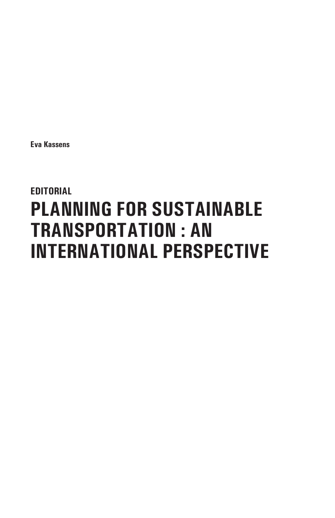**Eva Kassens**

## **EDITORIAL PLANNING FOR SUSTAINABLE TRANSPORTATION : AN INTERNATIONAL PERSPECTIVE**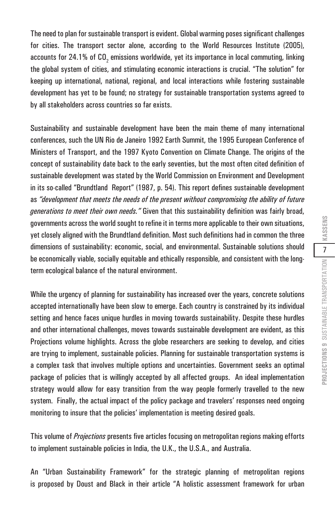The need to plan for sustainable transport is evident. Global warming poses significant challenges for cities. The transport sector alone, according to the World Resources Institute (2005), accounts for 24.1% of CO<sub>2</sub> emissions worldwide, yet its importance in local commuting, linking the global system of cities, and stimulating economic interactions is crucial. "The solution" for keeping up international, national, regional, and local interactions while fostering sustainable development has yet to be found; no strategy for sustainable transportation systems agreed to by all stakeholders across countries so far exists.

Sustainability and sustainable development have been the main theme of many international conferences, such the UN Rio de Janeiro 1992 Earth Summit, the 1995 European Conference of Ministers of Transport, and the 1997 Kyoto Convention on Climate Change. The origins of the concept of sustainability date back to the early seventies, but the most often cited definition of sustainable development was stated by the World Commission on Environment and Development in its so-called "Brundtland Report" (1987, p. 54). This report defines sustainable development as *"development that meets the needs of the present without compromising the ability of future generations to meet their own needs."* Given that this sustainability definition was fairly broad, governments across the world sought to refine it in terms more applicable to their own situations, yet closely aligned with the Brundtland definition. Most such definitions had in common the three dimensions of sustainability: economic, social, and environmental. Sustainable solutions should be economically viable, socially equitable and ethically responsible, and consistent with the longterm ecological balance of the natural environment.

While the urgency of planning for sustainability has increased over the years, concrete solutions accepted internationally have been slow to emerge. Each country is constrained by its individual setting and hence faces unique hurdles in moving towards sustainability. Despite these hurdles and other international challenges, moves towards sustainable development are evident, as this Projections volume highlights. Across the globe researchers are seeking to develop, and cities are trying to implement, sustainable policies. Planning for sustainable transportation systems is a complex task that involves multiple options and uncertainties. Government seeks an optimal package of policies that is willingly accepted by all affected groups. An ideal implementation strategy would allow for easy transition from the way people formerly travelled to the new system. Finally, the actual impact of the policy package and travelers' responses need ongoing monitoring to insure that the policies' implementation is meeting desired goals.

This volume of *Projections* presents five articles focusing on metropolitan regions making efforts to implement sustainable policies in India, the U.K., the U.S.A., and Australia.

An "Urban Sustainability Framework" for the strategic planning of metropolitan regions is proposed by Doust and Black in their article "A holistic assessment framework for urban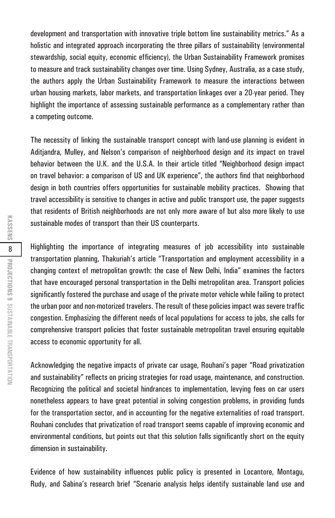development and transportation with innovative triple bottom line sustainability metrics." As a holistic and integrated approach incorporating the three pillars of sustainability (environmental stewardship, social equity, economic efficiency), the Urban Sustainability Framework promises to measure and track sustainability changes over time. Using Sydney, Australia, as a case study, the authors apply the Urban Sustainability Framework to measure the interactions between urban housing markets, labor markets, and transportation linkages over a 20-year period. They highlight the importance of assessing sustainable performance as a complementary rather than a competing outcome.

The necessity of linking the sustainable transport concept with land-use planning is evident in Aditjandra, Mulley, and Nelson's comparison of neighborhood design and its impact on travel behavior between the U.K. and the U.S.A. In their article titled "Neighborhood design impact on travel behavior: a comparison of US and UK experience", the authors find that neighborhood design in both countries offers opportunities for sustainable mobility practices. Showing that travel accessibility is sensitive to changes in active and public transport use, the paper suggests that residents of British neighborhoods are not only more aware of but also more likely to use sustainable modes of transport than their US counterparts.

Highlighting the importance of integrating measures of job accessibility into sustainable transportation planning, Thakuriah's article "Transportation and employment accessibility in a changing context of metropolitan growth: the case of New Delhi, India" examines the factors that have encouraged personal transportation in the Delhi metropolitan area. Transport policies significantly fostered the purchase and usage of the private motor vehicle while failing to protect the urban poor and non-motorized travelers. The result of these policies impact was severe traffic congestion. Emphasizing the different needs of local populations for access to jobs, she calls for comprehensive transport policies that foster sustainable metropolitan travel ensuring equitable access to economic opportunity for all.

Acknowledging the negative impacts of private car usage, Rouhani's paper "Road privatization and sustainability" reflects on pricing strategies for road usage, maintenance, and construction. Recognizing the political and societal hindrances to implementation, levying fees on car users nonetheless appears to have great potential in solving congestion problems, in providing funds for the transportation sector, and in accounting for the negative externalities of road transport. Rouhani concludes that privatization of road transport seems capable of improving economic and environmental conditions, but points out that this solution falls significantly short on the equity dimension in sustainability.

Evidence of how sustainability influences public policy is presented in Locantore, Montagu, Rudy, and Sabina's research brief "Scenario analysis helps identify sustainable land use and